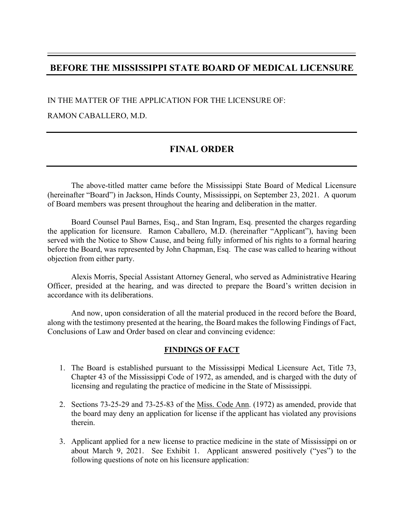# BEFORE THE MISSISSIPPI STATE BOARD OF MEDICAL LICENSURE<br>IN THE MATTER OF THE APPLICATION FOR THE LICENSURE OF:

IN THE MATTER OF THE APPLICATION FOR THE LICENSURE OF:

RAMON CABALLERO, M.D.

# FINAL ORDER

 The above-titled matter came before the Mississippi State Board of Medical Licensure (MACTER THE MISSISSIPPI STATE BOARD OF MEDICAL LICENSURE<br>
IN THE MATTER OF THE APPLICATION FOR THE LICENSURE OF:<br>
RAMON CABALLERO, M.D.<br>
FINAL ORDER<br>
The above-titled matter came before the Mississippi, State Board of Medi of Board members was present throughout the hearing and deliberation in the matter.

 Board Counsel Paul Barnes, Esq., and Stan Ingram, Esq. presented the charges regarding the application for licensure. Ramon Caballero, M.D. (hereinafter "Applicant"), having been served with the Notice to Show Cause, and being fully informed of his rights to a formal hearing before the Board, was represented by John Chapman, Esq. The case was called to hearing without objection from either party.

 Alexis Morris, Special Assistant Attorney General, who served as Administrative Hearing Officer, presided at the hearing, and was directed to prepare the Board's written decision in accordance with its deliberations.

 And now, upon consideration of all the material produced in the record before the Board, along with the testimony presented at the hearing, the Board makes the following Findings of Fact, Conclusions of Law and Order based on clear and convincing evidence:

### FINDINGS OF FACT

- 1. The Board is established pursuant to the Mississippi Medical Licensure Act, Title 73, Chapter 43 of the Mississippi Code of 1972, as amended, and is charged with the duty of licensing and regulating the practice of medicine in the State of Mississippi.
- 2. Sections 73-25-29 and 73-25-83 of the Miss. Code Ann. (1972) as amended, provide that the board may deny an application for license if the applicant has violated any provisions therein.
- 3. Applicant applied for a new license to practice medicine in the state of Mississippi on or about March 9, 2021. See Exhibit 1. Applicant answered positively ("yes") to the following questions of note on his licensure application: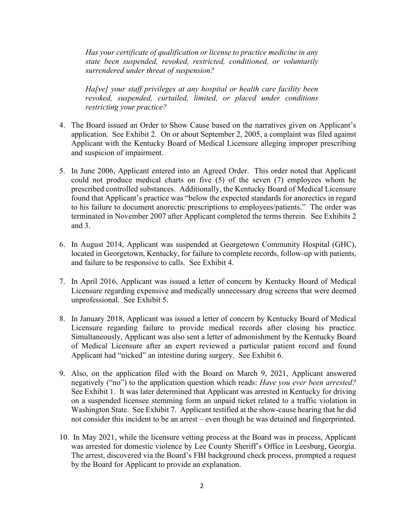Has your certificate of qualification or license to practice medicine in any state been suspended, revoked, restricted, conditioned, or voluntarily surrendered under threat of suspension?

Ha[ve] your staff privileges at any hospital or health care facility been revoked, suspended, curtailed, limited, or placed under conditions restricting your practice?

- Has your certificate of qualification or license to practice medicine in any<br>state been suspended, revoked, restricted, conditioned, or voluntarily<br>surrendered under threat of suspension?<br>Ha[ve] your staff privileges at a application. See Exhibit 2. On or about September 2, 2005, a complaint was filed against Applicant with the Kentucky Board of Medical Licensure alleging improper prescribing and suspicion of impairment.
- 5. In June 2006, Applicant entered into an Agreed Order. This order noted that Applicant could not produce medical charts on five (5) of the seven (7) employees whom he prescribed controlled substances. Additionally, the Kentucky Board of Medical Licensure found that Applicant's practice was "below the expected standards for anorectics in regard to his failure to document anorectic prescriptions to employees/patients." The order was terminated in November 2007 after Applicant completed the terms therein. See Exhibits 2 and 3.
- 6. In August 2014, Applicant was suspended at Georgetown Community Hospital (GHC), located in Georgetown, Kentucky, for failure to complete records, follow-up with patients, and failure to be responsive to calls. See Exhibit 4.
- 7. In April 2016, Applicant was issued a letter of concern by Kentucky Board of Medical Licensure regarding expensive and medically unnecessary drug screens that were deemed unprofessional. See Exhibit 5.
- 8. In January 2018, Applicant was issued a letter of concern by Kentucky Board of Medical Licensure regarding failure to provide medical records after closing his practice. Simultaneously, Applicant was also sent a letter of admonishment by the Kentucky Board of Medical Licensure after an expert reviewed a particular patient record and found Applicant had "nicked" an intestine during surgery. See Exhibit 6.
- 9. Also, on the application filed with the Board on March 9, 2021, Applicant answered negatively ("no") to the application question which reads: *Have you ever been arrested*? See Exhibit 1. It was later determined that Applicant was arrested in Kentucky for driving on a suspended licensee stemming form an unpaid ticket related to a traffic violation in Washington State. See Exhibit 7. Applicant testified at the show-cause hearing that he did not consider this incident to be an arrest – even though he was detained and fingerprinted.
- 10. In May 2021, while the licensure vetting process at the Board was in process, Applicant was arrested for domestic violence by Lee County Sheriff's Office in Leesburg, Georgia. The arrest, discovered via the Board's FBI background check process, prompted a request by the Board for Applicant to provide an explanation.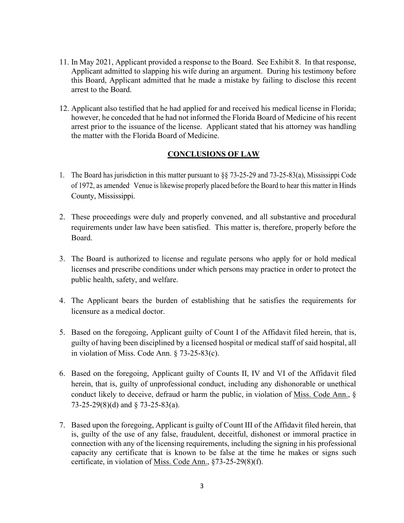- 11. In May 2021, Applicant provided a response to the Board. See Exhibit 8. In that response, Applicant admitted to slapping his wife during an argument. During his testimony before this Board, Applicant admitted that he made a mistake by failing to disclose this recent arrest to the Board.
- 12. Applicant also testified that he had applied for and received his medical license in Florida; however, he conceded that he had not informed the Florida Board of Medicine of his recent arrest prior to the issuance of the license. Applicant stated that his attorney was handling the matter with the Florida Board of Medicine. 11. In May 2021, Applicant provided a response to the Board. See Exhibit 8. In that response,<br>Applicant admitted to slapping his wife during an argument. During his testimony before<br>this Board, Applicant admitted that he

### CONCLUSIONS OF LAW

- of 1972, as amended. Venue is likewise properly placed before the Board to hear this matter in Hinds County, Mississippi.
- 2. These proceedings were duly and properly convened, and all substantive and procedural requirements under law have been satisfied. This matter is, therefore, properly before the Board. The Board has jurisdiction in this matter pursuant to §§ 73-25-29 and 73-25-83(a), Mississippi Code<br>of 1972, as amondot Venue is likewise properly placed before the Board to hear this matter in Hinds<br>County, Mississippi.<br>T
- 3. The Board is authorized to license and regulate persons who apply for or hold medical licenses and prescribe conditions under which persons may practice in order to protect the public health, safety, and welfare.
- 4. The Applicant bears the burden of establishing that he satisfies the requirements for licensure as a medical doctor.
- 5. Based on the foregoing, Applicant guilty of Count I of the Affidavit filed herein, that is, in violation of Miss. Code Ann. § 73-25-83(c).
- 2. These proceedings were duly and properly convened, and all substantive and procedural requirements under law have been satisfied. This matter is, therefore, properly before the Board.<br>
3. The Board is authorized to lic herein, that is, guilty of unprofessional conduct, including any dishonorable or unethical conduct likely to deceive, defraud or harm the public, in violation of Miss. Code Ann., § 73-25-29(8)(d) and § 73-25-83(a).
- 7. Based upon the foregoing, Applicant is guilty of Count III of the Affidavit filed herein, that is, guilty of the use of any false, fraudulent, deceitful, dishonest or immoral practice in connection with any of the licensing requirements, including the signing in his professional capacity any certificate that is known to be false at the time he makes or signs such certificate, in violation of Miss. Code Ann., §73-25-29(8)(f).